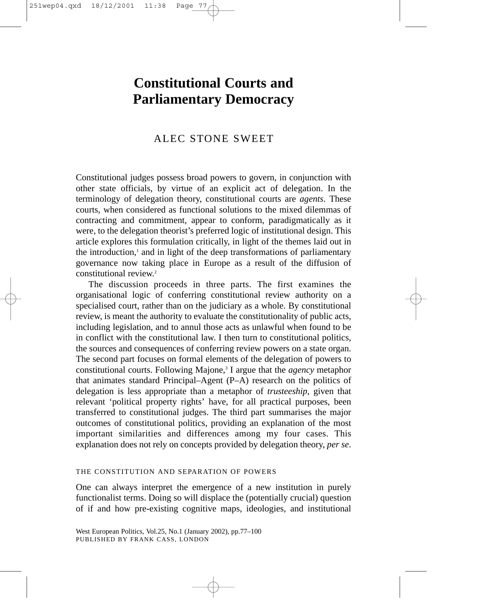# **Constitutional Courts and Parliamentary Democracy**

# ALEC STONE SWEET

Constitutional judges possess broad powers to govern, in conjunction with other state officials, by virtue of an explicit act of delegation. In the terminology of delegation theory, constitutional courts are *agents*. These courts, when considered as functional solutions to the mixed dilemmas of contracting and commitment, appear to conform, paradigmatically as it were, to the delegation theorist's preferred logic of institutional design. This article explores this formulation critically, in light of the themes laid out in the introduction, $\frac{1}{2}$  and in light of the deep transformations of parliamentary governance now taking place in Europe as a result of the diffusion of constitutional review.<sup>2</sup>

The discussion proceeds in three parts. The first examines the organisational logic of conferring constitutional review authority on a specialised court, rather than on the judiciary as a whole. By constitutional review, is meant the authority to evaluate the constitutionality of public acts, including legislation, and to annul those acts as unlawful when found to be in conflict with the constitutional law. I then turn to constitutional politics, the sources and consequences of conferring review powers on a state organ. The second part focuses on formal elements of the delegation of powers to constitutional courts. Following Majone,<sup>3</sup> I argue that the *agency* metaphor that animates standard Principal–Agent (P–A) research on the politics of delegation is less appropriate than a metaphor of *trusteeship*, given that relevant 'political property rights' have, for all practical purposes, been transferred to constitutional judges. The third part summarises the major outcomes of constitutional politics, providing an explanation of the most important similarities and differences among my four cases. This explanation does not rely on concepts provided by delegation theory, *per se*.

#### THE CONSTITUTION AND SEPARATION OF POWERS

One can always interpret the emergence of a new institution in purely functionalist terms. Doing so will displace the (potentially crucial) question of if and how pre-existing cognitive maps, ideologies, and institutional

West European Politics, Vol.25, No.1 (January 2002), pp.77–100 PUBLISHED BY FRANK CASS, LONDON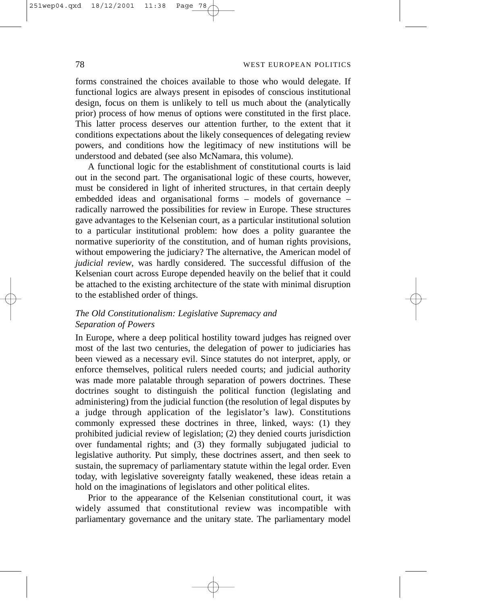forms constrained the choices available to those who would delegate. If functional logics are always present in episodes of conscious institutional design, focus on them is unlikely to tell us much about the (analytically prior) process of how menus of options were constituted in the first place. This latter process deserves our attention further, to the extent that it conditions expectations about the likely consequences of delegating review powers, and conditions how the legitimacy of new institutions will be understood and debated (see also McNamara, this volume).

A functional logic for the establishment of constitutional courts is laid out in the second part. The organisational logic of these courts, however, must be considered in light of inherited structures, in that certain deeply embedded ideas and organisational forms – models of governance – radically narrowed the possibilities for review in Europe. These structures gave advantages to the Kelsenian court, as a particular institutional solution to a particular institutional problem: how does a polity guarantee the normative superiority of the constitution, and of human rights provisions, without empowering the judiciary? The alternative, the American model of *judicial review*, was hardly considered. The successful diffusion of the Kelsenian court across Europe depended heavily on the belief that it could be attached to the existing architecture of the state with minimal disruption to the established order of things.

# *The Old Constitutionalism: Legislative Supremacy and Separation of Powers*

In Europe, where a deep political hostility toward judges has reigned over most of the last two centuries, the delegation of power to judiciaries has been viewed as a necessary evil. Since statutes do not interpret, apply, or enforce themselves, political rulers needed courts; and judicial authority was made more palatable through separation of powers doctrines. These doctrines sought to distinguish the political function (legislating and administering) from the judicial function (the resolution of legal disputes by a judge through application of the legislator's law). Constitutions commonly expressed these doctrines in three, linked, ways: (1) they prohibited judicial review of legislation; (2) they denied courts jurisdiction over fundamental rights; and (3) they formally subjugated judicial to legislative authority. Put simply, these doctrines assert, and then seek to sustain, the supremacy of parliamentary statute within the legal order. Even today, with legislative sovereignty fatally weakened, these ideas retain a hold on the imaginations of legislators and other political elites.

Prior to the appearance of the Kelsenian constitutional court, it was widely assumed that constitutional review was incompatible with parliamentary governance and the unitary state. The parliamentary model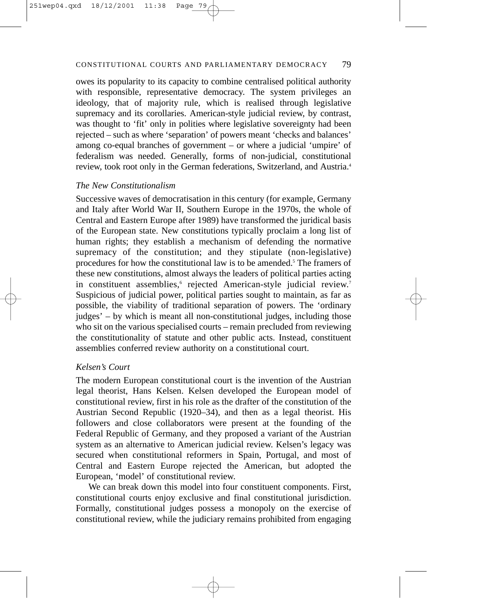owes its popularity to its capacity to combine centralised political authority with responsible, representative democracy. The system privileges an ideology, that of majority rule, which is realised through legislative supremacy and its corollaries. American-style judicial review, by contrast, was thought to 'fit' only in polities where legislative sovereignty had been rejected – such as where 'separation' of powers meant 'checks and balances' among co-equal branches of government – or where a judicial 'umpire' of federalism was needed. Generally, forms of non-judicial, constitutional review, took root only in the German federations, Switzerland, and Austria.<sup>4</sup>

# *The New Constitutionalism*

Successive waves of democratisation in this century (for example, Germany and Italy after World War II, Southern Europe in the 1970s, the whole of Central and Eastern Europe after 1989) have transformed the juridical basis of the European state. New constitutions typically proclaim a long list of human rights; they establish a mechanism of defending the normative supremacy of the constitution; and they stipulate (non-legislative) procedures for how the constitutional law is to be amended.<sup>5</sup> The framers of these new constitutions, almost always the leaders of political parties acting in constituent assemblies,<sup>6</sup> rejected American-style judicial review.<sup>7</sup> Suspicious of judicial power, political parties sought to maintain, as far as possible, the viability of traditional separation of powers. The 'ordinary judges' – by which is meant all non-constitutional judges, including those who sit on the various specialised courts – remain precluded from reviewing the constitutionality of statute and other public acts. Instead, constituent assemblies conferred review authority on a constitutional court.

# *Kelsen's Court*

The modern European constitutional court is the invention of the Austrian legal theorist, Hans Kelsen. Kelsen developed the European model of constitutional review, first in his role as the drafter of the constitution of the Austrian Second Republic (1920–34), and then as a legal theorist. His followers and close collaborators were present at the founding of the Federal Republic of Germany, and they proposed a variant of the Austrian system as an alternative to American judicial review. Kelsen's legacy was secured when constitutional reformers in Spain, Portugal, and most of Central and Eastern Europe rejected the American, but adopted the European, 'model' of constitutional review.

We can break down this model into four constituent components. First, constitutional courts enjoy exclusive and final constitutional jurisdiction. Formally, constitutional judges possess a monopoly on the exercise of constitutional review, while the judiciary remains prohibited from engaging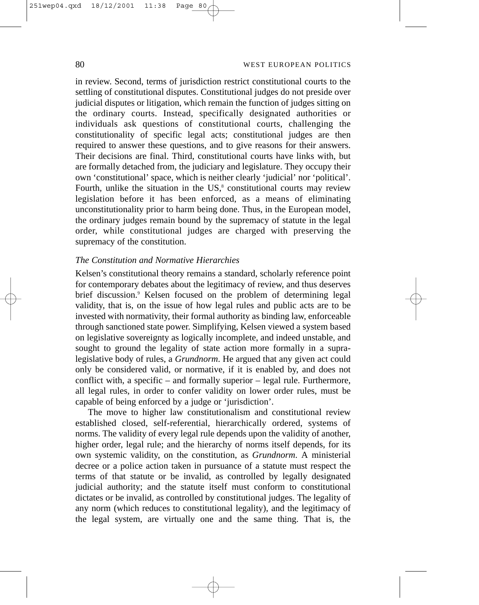in review. Second, terms of jurisdiction restrict constitutional courts to the settling of constitutional disputes. Constitutional judges do not preside over judicial disputes or litigation, which remain the function of judges sitting on the ordinary courts. Instead, specifically designated authorities or individuals ask questions of constitutional courts, challenging the constitutionality of specific legal acts; constitutional judges are then required to answer these questions, and to give reasons for their answers. Their decisions are final. Third, constitutional courts have links with, but are formally detached from, the judiciary and legislature. They occupy their own 'constitutional' space, which is neither clearly 'judicial' nor 'political'. Fourth, unlike the situation in the  $US^3$  constitutional courts may review legislation before it has been enforced, as a means of eliminating unconstitutionality prior to harm being done. Thus, in the European model, the ordinary judges remain bound by the supremacy of statute in the legal order, while constitutional judges are charged with preserving the supremacy of the constitution.

# *The Constitution and Normative Hierarchies*

Kelsen's constitutional theory remains a standard, scholarly reference point for contemporary debates about the legitimacy of review, and thus deserves brief discussion.<sup>9</sup> Kelsen focused on the problem of determining legal validity, that is, on the issue of how legal rules and public acts are to be invested with normativity, their formal authority as binding law, enforceable through sanctioned state power. Simplifying, Kelsen viewed a system based on legislative sovereignty as logically incomplete, and indeed unstable, and sought to ground the legality of state action more formally in a supralegislative body of rules, a *Grundnorm*. He argued that any given act could only be considered valid, or normative, if it is enabled by, and does not conflict with, a specific – and formally superior – legal rule. Furthermore, all legal rules, in order to confer validity on lower order rules, must be capable of being enforced by a judge or 'jurisdiction'.

The move to higher law constitutionalism and constitutional review established closed, self-referential, hierarchically ordered, systems of norms. The validity of every legal rule depends upon the validity of another, higher order, legal rule; and the hierarchy of norms itself depends, for its own systemic validity, on the constitution, as *Grundnorm*. A ministerial decree or a police action taken in pursuance of a statute must respect the terms of that statute or be invalid, as controlled by legally designated judicial authority; and the statute itself must conform to constitutional dictates or be invalid, as controlled by constitutional judges. The legality of any norm (which reduces to constitutional legality), and the legitimacy of the legal system, are virtually one and the same thing. That is, the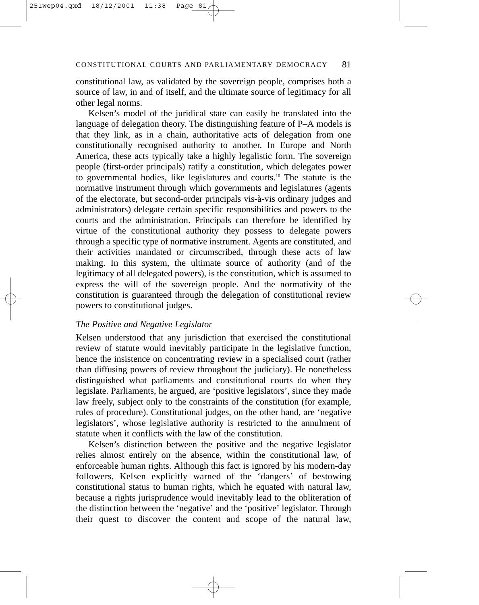constitutional law, as validated by the sovereign people, comprises both a source of law, in and of itself, and the ultimate source of legitimacy for all other legal norms.

Kelsen's model of the juridical state can easily be translated into the language of delegation theory. The distinguishing feature of P–A models is that they link, as in a chain, authoritative acts of delegation from one constitutionally recognised authority to another. In Europe and North America, these acts typically take a highly legalistic form. The sovereign people (first-order principals) ratify a constitution, which delegates power to governmental bodies, like legislatures and courts.10 The statute is the normative instrument through which governments and legislatures (agents of the electorate, but second-order principals vis-à-vis ordinary judges and administrators) delegate certain specific responsibilities and powers to the courts and the administration. Principals can therefore be identified by virtue of the constitutional authority they possess to delegate powers through a specific type of normative instrument. Agents are constituted, and their activities mandated or circumscribed, through these acts of law making. In this system, the ultimate source of authority (and of the legitimacy of all delegated powers), is the constitution, which is assumed to express the will of the sovereign people. And the normativity of the constitution is guaranteed through the delegation of constitutional review powers to constitutional judges.

#### *The Positive and Negative Legislator*

251wep04.qxd 18/12/2001

Kelsen understood that any jurisdiction that exercised the constitutional review of statute would inevitably participate in the legislative function, hence the insistence on concentrating review in a specialised court (rather than diffusing powers of review throughout the judiciary). He nonetheless distinguished what parliaments and constitutional courts do when they legislate. Parliaments, he argued, are 'positive legislators', since they made law freely, subject only to the constraints of the constitution (for example, rules of procedure). Constitutional judges, on the other hand, are 'negative legislators', whose legislative authority is restricted to the annulment of statute when it conflicts with the law of the constitution.

Kelsen's distinction between the positive and the negative legislator relies almost entirely on the absence, within the constitutional law, of enforceable human rights. Although this fact is ignored by his modern-day followers, Kelsen explicitly warned of the 'dangers' of bestowing constitutional status to human rights, which he equated with natural law, because a rights jurisprudence would inevitably lead to the obliteration of the distinction between the 'negative' and the 'positive' legislator. Through their quest to discover the content and scope of the natural law,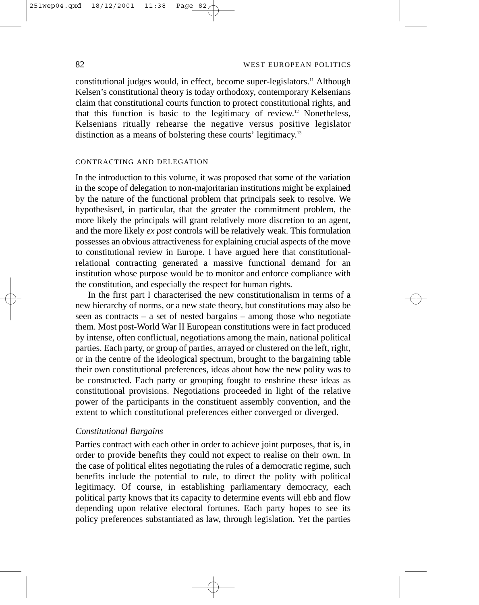constitutional judges would, in effect, become super-legislators.11 Although Kelsen's constitutional theory is today orthodoxy, contemporary Kelsenians claim that constitutional courts function to protect constitutional rights, and that this function is basic to the legitimacy of review.12 Nonetheless, Kelsenians ritually rehearse the negative versus positive legislator distinction as a means of bolstering these courts' legitimacy.<sup>13</sup>

#### CONTRACTING AND DELEGATION

In the introduction to this volume, it was proposed that some of the variation in the scope of delegation to non-majoritarian institutions might be explained by the nature of the functional problem that principals seek to resolve. We hypothesised, in particular, that the greater the commitment problem, the more likely the principals will grant relatively more discretion to an agent, and the more likely *ex post* controls will be relatively weak. This formulation possesses an obvious attractiveness for explaining crucial aspects of the move to constitutional review in Europe. I have argued here that constitutionalrelational contracting generated a massive functional demand for an institution whose purpose would be to monitor and enforce compliance with the constitution, and especially the respect for human rights.

In the first part I characterised the new constitutionalism in terms of a new hierarchy of norms, or a new state theory, but constitutions may also be seen as contracts – a set of nested bargains – among those who negotiate them. Most post-World War II European constitutions were in fact produced by intense, often conflictual, negotiations among the main, national political parties. Each party, or group of parties, arrayed or clustered on the left, right, or in the centre of the ideological spectrum, brought to the bargaining table their own constitutional preferences, ideas about how the new polity was to be constructed. Each party or grouping fought to enshrine these ideas as constitutional provisions. Negotiations proceeded in light of the relative power of the participants in the constituent assembly convention, and the extent to which constitutional preferences either converged or diverged.

#### *Constitutional Bargains*

Parties contract with each other in order to achieve joint purposes, that is, in order to provide benefits they could not expect to realise on their own. In the case of political elites negotiating the rules of a democratic regime, such benefits include the potential to rule, to direct the polity with political legitimacy. Of course, in establishing parliamentary democracy, each political party knows that its capacity to determine events will ebb and flow depending upon relative electoral fortunes. Each party hopes to see its policy preferences substantiated as law, through legislation. Yet the parties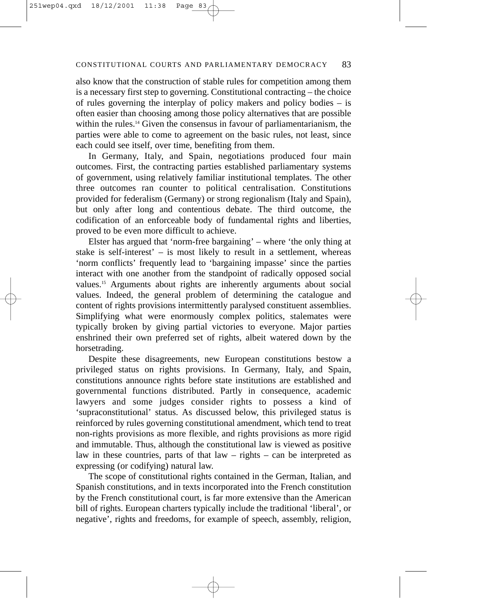251wep04.qxd 18/12/2001

also know that the construction of stable rules for competition among them is a necessary first step to governing. Constitutional contracting – the choice of rules governing the interplay of policy makers and policy bodies – is often easier than choosing among those policy alternatives that are possible within the rules.<sup>14</sup> Given the consensus in favour of parliamentarianism, the parties were able to come to agreement on the basic rules, not least, since each could see itself, over time, benefiting from them.

In Germany, Italy, and Spain, negotiations produced four main outcomes. First, the contracting parties established parliamentary systems of government, using relatively familiar institutional templates. The other three outcomes ran counter to political centralisation. Constitutions provided for federalism (Germany) or strong regionalism (Italy and Spain), but only after long and contentious debate. The third outcome, the codification of an enforceable body of fundamental rights and liberties, proved to be even more difficult to achieve.

Elster has argued that 'norm-free bargaining' – where 'the only thing at stake is self-interest' – is most likely to result in a settlement, whereas 'norm conflicts' frequently lead to 'bargaining impasse' since the parties interact with one another from the standpoint of radically opposed social values.15 Arguments about rights are inherently arguments about social values. Indeed, the general problem of determining the catalogue and content of rights provisions intermittently paralysed constituent assemblies. Simplifying what were enormously complex politics, stalemates were typically broken by giving partial victories to everyone. Major parties enshrined their own preferred set of rights, albeit watered down by the horsetrading.

Despite these disagreements, new European constitutions bestow a privileged status on rights provisions. In Germany, Italy, and Spain, constitutions announce rights before state institutions are established and governmental functions distributed. Partly in consequence, academic lawyers and some judges consider rights to possess a kind of 'supraconstitutional' status. As discussed below, this privileged status is reinforced by rules governing constitutional amendment, which tend to treat non-rights provisions as more flexible, and rights provisions as more rigid and immutable. Thus, although the constitutional law is viewed as positive law in these countries, parts of that  $law - right$  – can be interpreted as expressing (or codifying) natural law.

The scope of constitutional rights contained in the German, Italian, and Spanish constitutions, and in texts incorporated into the French constitution by the French constitutional court, is far more extensive than the American bill of rights. European charters typically include the traditional 'liberal', or negative', rights and freedoms, for example of speech, assembly, religion,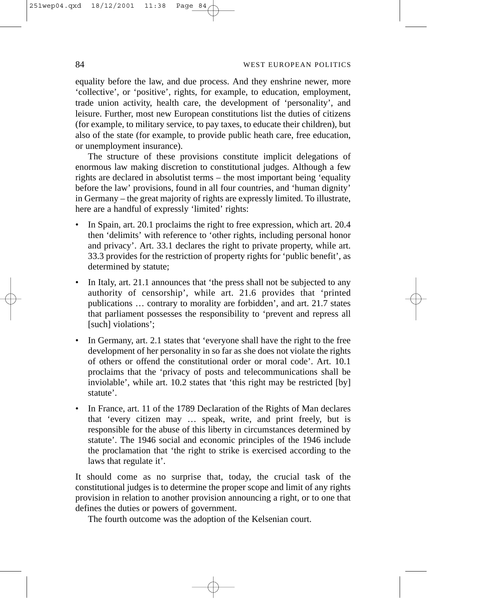equality before the law, and due process. And they enshrine newer, more 'collective', or 'positive', rights, for example, to education, employment, trade union activity, health care, the development of 'personality', and leisure. Further, most new European constitutions list the duties of citizens (for example, to military service, to pay taxes, to educate their children), but also of the state (for example, to provide public heath care, free education, or unemployment insurance).

The structure of these provisions constitute implicit delegations of enormous law making discretion to constitutional judges. Although a few rights are declared in absolutist terms – the most important being 'equality before the law' provisions, found in all four countries, and 'human dignity' in Germany – the great majority of rights are expressly limited. To illustrate, here are a handful of expressly 'limited' rights:

- In Spain, art. 20.1 proclaims the right to free expression, which art. 20.4 then 'delimits' with reference to 'other rights, including personal honor and privacy'. Art. 33.1 declares the right to private property, while art. 33.3 provides for the restriction of property rights for 'public benefit', as determined by statute;
- In Italy, art. 21.1 announces that 'the press shall not be subjected to any authority of censorship', while art. 21.6 provides that 'printed publications … contrary to morality are forbidden', and art. 21.7 states that parliament possesses the responsibility to 'prevent and repress all [such] violations';
- In Germany, art. 2.1 states that 'everyone shall have the right to the free development of her personality in so far as she does not violate the rights of others or offend the constitutional order or moral code'. Art. 10.1 proclaims that the 'privacy of posts and telecommunications shall be inviolable', while art. 10.2 states that 'this right may be restricted [by] statute'.
- In France, art. 11 of the 1789 Declaration of the Rights of Man declares that 'every citizen may … speak, write, and print freely, but is responsible for the abuse of this liberty in circumstances determined by statute'. The 1946 social and economic principles of the 1946 include the proclamation that 'the right to strike is exercised according to the laws that regulate it'.

It should come as no surprise that, today, the crucial task of the constitutional judges is to determine the proper scope and limit of any rights provision in relation to another provision announcing a right, or to one that defines the duties or powers of government.

The fourth outcome was the adoption of the Kelsenian court.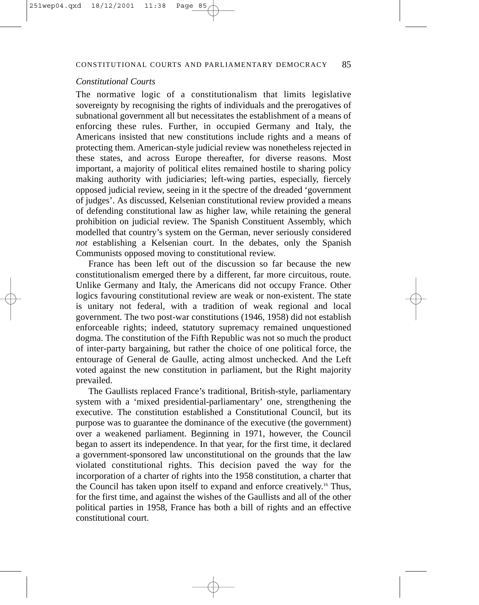# *Constitutional Courts*

251wep04.qxd 18/12/2001

The normative logic of a constitutionalism that limits legislative sovereignty by recognising the rights of individuals and the prerogatives of subnational government all but necessitates the establishment of a means of enforcing these rules. Further, in occupied Germany and Italy, the Americans insisted that new constitutions include rights and a means of protecting them. American-style judicial review was nonetheless rejected in these states, and across Europe thereafter, for diverse reasons. Most important, a majority of political elites remained hostile to sharing policy making authority with judiciaries; left-wing parties, especially, fiercely opposed judicial review, seeing in it the spectre of the dreaded 'government of judges'. As discussed, Kelsenian constitutional review provided a means of defending constitutional law as higher law, while retaining the general prohibition on judicial review. The Spanish Constituent Assembly, which modelled that country's system on the German, never seriously considered *not* establishing a Kelsenian court. In the debates, only the Spanish Communists opposed moving to constitutional review.

France has been left out of the discussion so far because the new constitutionalism emerged there by a different, far more circuitous, route. Unlike Germany and Italy, the Americans did not occupy France. Other logics favouring constitutional review are weak or non-existent. The state is unitary not federal, with a tradition of weak regional and local government. The two post-war constitutions (1946, 1958) did not establish enforceable rights; indeed, statutory supremacy remained unquestioned dogma. The constitution of the Fifth Republic was not so much the product of inter-party bargaining, but rather the choice of one political force, the entourage of General de Gaulle, acting almost unchecked. And the Left voted against the new constitution in parliament, but the Right majority prevailed.

The Gaullists replaced France's traditional, British-style, parliamentary system with a 'mixed presidential-parliamentary' one, strengthening the executive. The constitution established a Constitutional Council, but its purpose was to guarantee the dominance of the executive (the government) over a weakened parliament. Beginning in 1971, however, the Council began to assert its independence. In that year, for the first time, it declared a government-sponsored law unconstitutional on the grounds that the law violated constitutional rights. This decision paved the way for the incorporation of a charter of rights into the 1958 constitution, a charter that the Council has taken upon itself to expand and enforce creatively.16 Thus, for the first time, and against the wishes of the Gaullists and all of the other political parties in 1958, France has both a bill of rights and an effective constitutional court.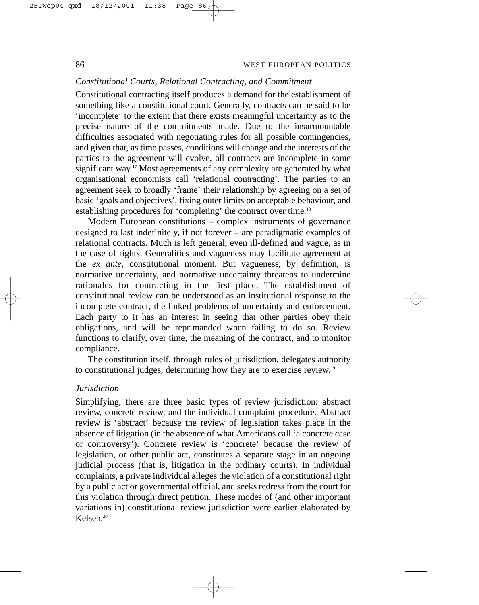#### *Constitutional Courts, Relational Contracting, and Commitment*

Constitutional contracting itself produces a demand for the establishment of something like a constitutional court. Generally, contracts can be said to be 'incomplete' to the extent that there exists meaningful uncertainty as to the precise nature of the commitments made. Due to the insurmountable difficulties associated with negotiating rules for all possible contingencies, and given that, as time passes, conditions will change and the interests of the parties to the agreement will evolve, all contracts are incomplete in some significant way.<sup>17</sup> Most agreements of any complexity are generated by what organisational economists call 'relational contracting'. The parties to an agreement seek to broadly 'frame' their relationship by agreeing on a set of basic 'goals and objectives', fixing outer limits on acceptable behaviour, and establishing procedures for 'completing' the contract over time.<sup>18</sup>

Modern European constitutions – complex instruments of governance designed to last indefinitely, if not forever – are paradigmatic examples of relational contracts. Much is left general, even ill-defined and vague, as in the case of rights. Generalities and vagueness may facilitate agreement at the *ex ante*, constitutional moment. But vagueness, by definition, is normative uncertainty, and normative uncertainty threatens to undermine rationales for contracting in the first place. The establishment of constitutional review can be understood as an institutional response to the incomplete contract, the linked problems of uncertainty and enforcement. Each party to it has an interest in seeing that other parties obey their obligations, and will be reprimanded when failing to do so. Review functions to clarify, over time, the meaning of the contract, and to monitor compliance.

The constitution itself, through rules of jurisdiction, delegates authority to constitutional judges, determining how they are to exercise review.19

#### *Jurisdiction*

Simplifying, there are three basic types of review jurisdiction: abstract review, concrete review, and the individual complaint procedure. Abstract review is 'abstract' because the review of legislation takes place in the absence of litigation (in the absence of what Americans call 'a concrete case or controversy'). Concrete review is 'concrete' because the review of legislation, or other public act, constitutes a separate stage in an ongoing judicial process (that is, litigation in the ordinary courts). In individual complaints, a private individual alleges the violation of a constitutional right by a public act or governmental official, and seeks redress from the court for this violation through direct petition. These modes of (and other important variations in) constitutional review jurisdiction were earlier elaborated by Kelsen.20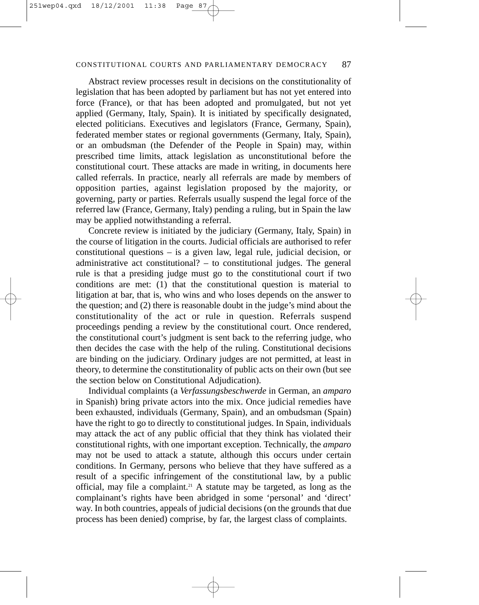Abstract review processes result in decisions on the constitutionality of legislation that has been adopted by parliament but has not yet entered into force (France), or that has been adopted and promulgated, but not yet applied (Germany, Italy, Spain). It is initiated by specifically designated, elected politicians. Executives and legislators (France, Germany, Spain), federated member states or regional governments (Germany, Italy, Spain), or an ombudsman (the Defender of the People in Spain) may, within prescribed time limits, attack legislation as unconstitutional before the constitutional court. These attacks are made in writing, in documents here called referrals. In practice, nearly all referrals are made by members of opposition parties, against legislation proposed by the majority, or governing, party or parties. Referrals usually suspend the legal force of the referred law (France, Germany, Italy) pending a ruling, but in Spain the law may be applied notwithstanding a referral.

Concrete review is initiated by the judiciary (Germany, Italy, Spain) in the course of litigation in the courts. Judicial officials are authorised to refer constitutional questions – is a given law, legal rule, judicial decision, or administrative act constitutional? – to constitutional judges. The general rule is that a presiding judge must go to the constitutional court if two conditions are met: (1) that the constitutional question is material to litigation at bar, that is, who wins and who loses depends on the answer to the question; and (2) there is reasonable doubt in the judge's mind about the constitutionality of the act or rule in question. Referrals suspend proceedings pending a review by the constitutional court. Once rendered, the constitutional court's judgment is sent back to the referring judge, who then decides the case with the help of the ruling. Constitutional decisions are binding on the judiciary. Ordinary judges are not permitted, at least in theory, to determine the constitutionality of public acts on their own (but see the section below on Constitutional Adjudication).

Individual complaints (a *Verfassungsbeschwerde* in German, an *amparo* in Spanish) bring private actors into the mix. Once judicial remedies have been exhausted, individuals (Germany, Spain), and an ombudsman (Spain) have the right to go to directly to constitutional judges. In Spain, individuals may attack the act of any public official that they think has violated their constitutional rights, with one important exception. Technically, the *amparo* may not be used to attack a statute, although this occurs under certain conditions. In Germany, persons who believe that they have suffered as a result of a specific infringement of the constitutional law, by a public official, may file a complaint.21 A statute may be targeted, as long as the complainant's rights have been abridged in some 'personal' and 'direct' way. In both countries, appeals of judicial decisions (on the grounds that due process has been denied) comprise, by far, the largest class of complaints.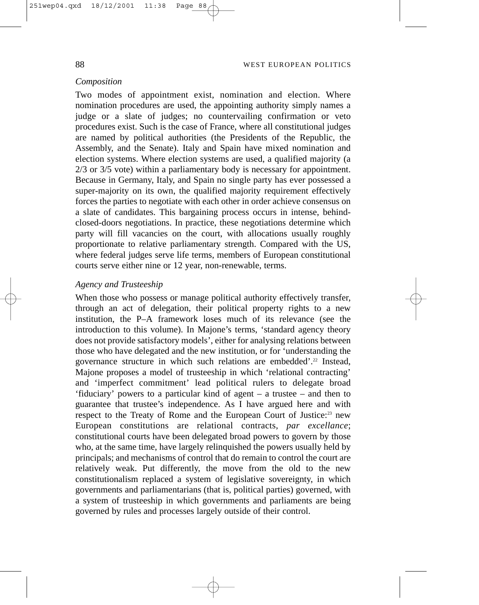#### *Composition*

Two modes of appointment exist, nomination and election. Where nomination procedures are used, the appointing authority simply names a judge or a slate of judges; no countervailing confirmation or veto procedures exist. Such is the case of France, where all constitutional judges are named by political authorities (the Presidents of the Republic, the Assembly, and the Senate). Italy and Spain have mixed nomination and election systems. Where election systems are used, a qualified majority (a 2/3 or 3/5 vote) within a parliamentary body is necessary for appointment. Because in Germany, Italy, and Spain no single party has ever possessed a super-majority on its own, the qualified majority requirement effectively forces the parties to negotiate with each other in order achieve consensus on a slate of candidates. This bargaining process occurs in intense, behindclosed-doors negotiations. In practice, these negotiations determine which party will fill vacancies on the court, with allocations usually roughly proportionate to relative parliamentary strength. Compared with the US, where federal judges serve life terms, members of European constitutional courts serve either nine or 12 year, non-renewable, terms.

# *Agency and Trusteeship*

When those who possess or manage political authority effectively transfer, through an act of delegation, their political property rights to a new institution, the P–A framework loses much of its relevance (see the introduction to this volume). In Majone's terms, 'standard agency theory does not provide satisfactory models', either for analysing relations between those who have delegated and the new institution, or for 'understanding the governance structure in which such relations are embedded'.22 Instead, Majone proposes a model of trusteeship in which 'relational contracting' and 'imperfect commitment' lead political rulers to delegate broad 'fiduciary' powers to a particular kind of agent – a trustee – and then to guarantee that trustee's independence. As I have argued here and with respect to the Treaty of Rome and the European Court of Justice:<sup>23</sup> new European constitutions are relational contracts, *par excellance*; constitutional courts have been delegated broad powers to govern by those who, at the same time, have largely relinquished the powers usually held by principals; and mechanisms of control that do remain to control the court are relatively weak. Put differently, the move from the old to the new constitutionalism replaced a system of legislative sovereignty, in which governments and parliamentarians (that is, political parties) governed, with a system of trusteeship in which governments and parliaments are being governed by rules and processes largely outside of their control.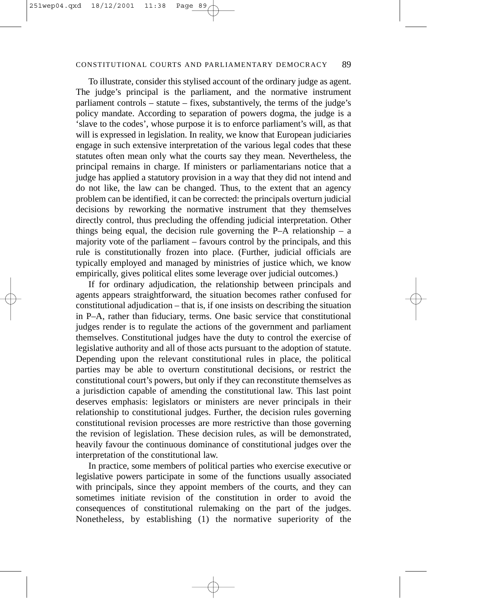To illustrate, consider this stylised account of the ordinary judge as agent. The judge's principal is the parliament, and the normative instrument parliament controls – statute – fixes, substantively, the terms of the judge's policy mandate. According to separation of powers dogma, the judge is a 'slave to the codes', whose purpose it is to enforce parliament's will, as that will is expressed in legislation. In reality, we know that European judiciaries engage in such extensive interpretation of the various legal codes that these statutes often mean only what the courts say they mean. Nevertheless, the principal remains in charge. If ministers or parliamentarians notice that a judge has applied a statutory provision in a way that they did not intend and do not like, the law can be changed. Thus, to the extent that an agency problem can be identified, it can be corrected: the principals overturn judicial decisions by reworking the normative instrument that they themselves directly control, thus precluding the offending judicial interpretation. Other things being equal, the decision rule governing the  $P-A$  relationship – a majority vote of the parliament – favours control by the principals, and this rule is constitutionally frozen into place. (Further, judicial officials are typically employed and managed by ministries of justice which, we know empirically, gives political elites some leverage over judicial outcomes.)

If for ordinary adjudication, the relationship between principals and agents appears straightforward, the situation becomes rather confused for constitutional adjudication – that is, if one insists on describing the situation in P–A, rather than fiduciary, terms. One basic service that constitutional judges render is to regulate the actions of the government and parliament themselves. Constitutional judges have the duty to control the exercise of legislative authority and all of those acts pursuant to the adoption of statute. Depending upon the relevant constitutional rules in place, the political parties may be able to overturn constitutional decisions, or restrict the constitutional court's powers, but only if they can reconstitute themselves as a jurisdiction capable of amending the constitutional law. This last point deserves emphasis: legislators or ministers are never principals in their relationship to constitutional judges. Further, the decision rules governing constitutional revision processes are more restrictive than those governing the revision of legislation. These decision rules, as will be demonstrated, heavily favour the continuous dominance of constitutional judges over the interpretation of the constitutional law.

In practice, some members of political parties who exercise executive or legislative powers participate in some of the functions usually associated with principals, since they appoint members of the courts, and they can sometimes initiate revision of the constitution in order to avoid the consequences of constitutional rulemaking on the part of the judges. Nonetheless, by establishing (1) the normative superiority of the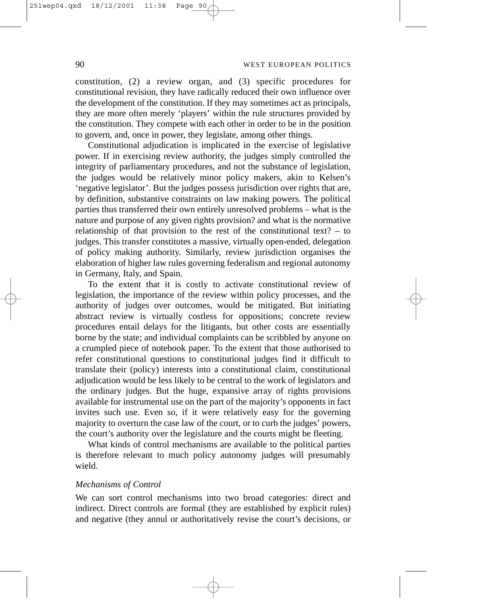constitution, (2) a review organ, and (3) specific procedures for constitutional revision, they have radically reduced their own influence over the development of the constitution. If they may sometimes act as principals, they are more often merely 'players' within the rule structures provided by the constitution. They compete with each other in order to be in the position to govern, and, once in power, they legislate, among other things.

Constitutional adjudication is implicated in the exercise of legislative power. If in exercising review authority, the judges simply controlled the integrity of parliamentary procedures, and not the substance of legislation, the judges would be relatively minor policy makers, akin to Kelsen's 'negative legislator'. But the judges possess jurisdiction over rights that are, by definition, substantive constraints on law making powers. The political parties thus transferred their own entirely unresolved problems – what is the nature and purpose of any given rights provision? and what is the normative relationship of that provision to the rest of the constitutional text? – to judges. This transfer constitutes a massive, virtually open-ended, delegation of policy making authority. Similarly, review jurisdiction organises the elaboration of higher law rules governing federalism and regional autonomy in Germany, Italy, and Spain.

To the extent that it is costly to activate constitutional review of legislation, the importance of the review within policy processes, and the authority of judges over outcomes, would be mitigated. But initiating abstract review is virtually costless for oppositions; concrete review procedures entail delays for the litigants, but other costs are essentially borne by the state; and individual complaints can be scribbled by anyone on a crumpled piece of notebook paper. To the extent that those authorised to refer constitutional questions to constitutional judges find it difficult to translate their (policy) interests into a constitutional claim, constitutional adjudication would be less likely to be central to the work of legislators and the ordinary judges. But the huge, expansive array of rights provisions available for instrumental use on the part of the majority's opponents in fact invites such use. Even so, if it were relatively easy for the governing majority to overturn the case law of the court, or to curb the judges' powers, the court's authority over the legislature and the courts might be fleeting.

What kinds of control mechanisms are available to the political parties is therefore relevant to much policy autonomy judges will presumably wield.

### *Mechanisms of Control*

We can sort control mechanisms into two broad categories: direct and indirect. Direct controls are formal (they are established by explicit rules) and negative (they annul or authoritatively revise the court's decisions, or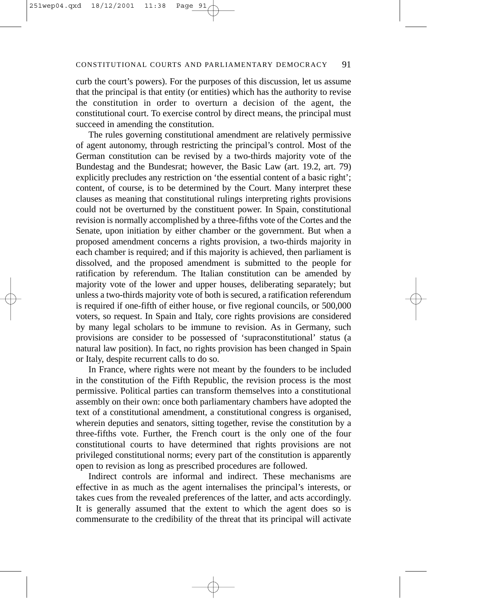curb the court's powers). For the purposes of this discussion, let us assume that the principal is that entity (or entities) which has the authority to revise the constitution in order to overturn a decision of the agent, the constitutional court. To exercise control by direct means, the principal must succeed in amending the constitution.

The rules governing constitutional amendment are relatively permissive of agent autonomy, through restricting the principal's control. Most of the German constitution can be revised by a two-thirds majority vote of the Bundestag and the Bundesrat; however, the Basic Law (art. 19.2, art. 79) explicitly precludes any restriction on 'the essential content of a basic right'; content, of course, is to be determined by the Court. Many interpret these clauses as meaning that constitutional rulings interpreting rights provisions could not be overturned by the constituent power. In Spain, constitutional revision is normally accomplished by a three-fifths vote of the Cortes and the Senate, upon initiation by either chamber or the government. But when a proposed amendment concerns a rights provision, a two-thirds majority in each chamber is required; and if this majority is achieved, then parliament is dissolved, and the proposed amendment is submitted to the people for ratification by referendum. The Italian constitution can be amended by majority vote of the lower and upper houses, deliberating separately; but unless a two-thirds majority vote of both is secured, a ratification referendum is required if one-fifth of either house, or five regional councils, or 500,000 voters, so request. In Spain and Italy, core rights provisions are considered by many legal scholars to be immune to revision. As in Germany, such provisions are consider to be possessed of 'supraconstitutional' status (a natural law position). In fact, no rights provision has been changed in Spain or Italy, despite recurrent calls to do so.

In France, where rights were not meant by the founders to be included in the constitution of the Fifth Republic, the revision process is the most permissive. Political parties can transform themselves into a constitutional assembly on their own: once both parliamentary chambers have adopted the text of a constitutional amendment, a constitutional congress is organised, wherein deputies and senators, sitting together, revise the constitution by a three-fifths vote. Further, the French court is the only one of the four constitutional courts to have determined that rights provisions are not privileged constitutional norms; every part of the constitution is apparently open to revision as long as prescribed procedures are followed.

Indirect controls are informal and indirect. These mechanisms are effective in as much as the agent internalises the principal's interests, or takes cues from the revealed preferences of the latter, and acts accordingly. It is generally assumed that the extent to which the agent does so is commensurate to the credibility of the threat that its principal will activate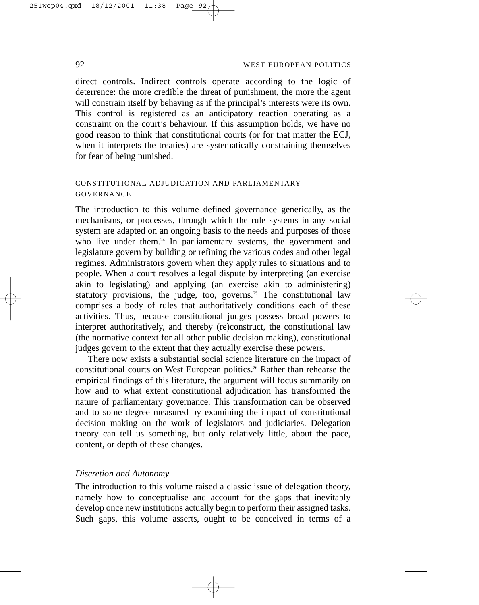direct controls. Indirect controls operate according to the logic of deterrence: the more credible the threat of punishment, the more the agent will constrain itself by behaving as if the principal's interests were its own. This control is registered as an anticipatory reaction operating as a constraint on the court's behaviour. If this assumption holds, we have no good reason to think that constitutional courts (or for that matter the ECJ, when it interprets the treaties) are systematically constraining themselves for fear of being punished.

# CONSTITUTIONAL ADJUDICATION AND PARLIAMENTARY GOVERNANCE

The introduction to this volume defined governance generically, as the mechanisms, or processes, through which the rule systems in any social system are adapted on an ongoing basis to the needs and purposes of those who live under them. $24$  In parliamentary systems, the government and legislature govern by building or refining the various codes and other legal regimes. Administrators govern when they apply rules to situations and to people. When a court resolves a legal dispute by interpreting (an exercise akin to legislating) and applying (an exercise akin to administering) statutory provisions, the judge, too, governs.<sup>25</sup> The constitutional law comprises a body of rules that authoritatively conditions each of these activities. Thus, because constitutional judges possess broad powers to interpret authoritatively, and thereby (re)construct, the constitutional law (the normative context for all other public decision making), constitutional judges govern to the extent that they actually exercise these powers.

There now exists a substantial social science literature on the impact of constitutional courts on West European politics.26 Rather than rehearse the empirical findings of this literature, the argument will focus summarily on how and to what extent constitutional adjudication has transformed the nature of parliamentary governance. This transformation can be observed and to some degree measured by examining the impact of constitutional decision making on the work of legislators and judiciaries. Delegation theory can tell us something, but only relatively little, about the pace, content, or depth of these changes.

# *Discretion and Autonomy*

The introduction to this volume raised a classic issue of delegation theory, namely how to conceptualise and account for the gaps that inevitably develop once new institutions actually begin to perform their assigned tasks. Such gaps, this volume asserts, ought to be conceived in terms of a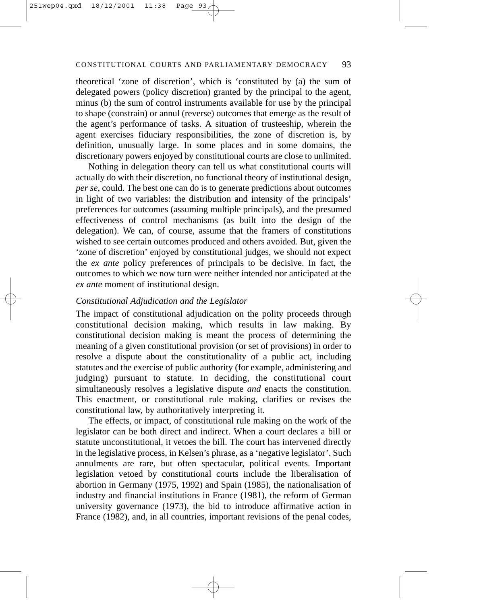theoretical 'zone of discretion', which is 'constituted by (a) the sum of delegated powers (policy discretion) granted by the principal to the agent, minus (b) the sum of control instruments available for use by the principal to shape (constrain) or annul (reverse) outcomes that emerge as the result of the agent's performance of tasks. A situation of trusteeship, wherein the agent exercises fiduciary responsibilities, the zone of discretion is, by definition, unusually large. In some places and in some domains, the discretionary powers enjoyed by constitutional courts are close to unlimited.

Nothing in delegation theory can tell us what constitutional courts will actually do with their discretion, no functional theory of institutional design, *per se*, could. The best one can do is to generate predictions about outcomes in light of two variables: the distribution and intensity of the principals' preferences for outcomes (assuming multiple principals), and the presumed effectiveness of control mechanisms (as built into the design of the delegation). We can, of course, assume that the framers of constitutions wished to see certain outcomes produced and others avoided. But, given the 'zone of discretion' enjoyed by constitutional judges, we should not expect the *ex ante* policy preferences of principals to be decisive. In fact, the outcomes to which we now turn were neither intended nor anticipated at the *ex ante* moment of institutional design.

#### *Constitutional Adjudication and the Legislator*

The impact of constitutional adjudication on the polity proceeds through constitutional decision making, which results in law making. By constitutional decision making is meant the process of determining the meaning of a given constitutional provision (or set of provisions) in order to resolve a dispute about the constitutionality of a public act, including statutes and the exercise of public authority (for example, administering and judging) pursuant to statute. In deciding, the constitutional court simultaneously resolves a legislative dispute *and* enacts the constitution. This enactment, or constitutional rule making, clarifies or revises the constitutional law, by authoritatively interpreting it.

The effects, or impact, of constitutional rule making on the work of the legislator can be both direct and indirect. When a court declares a bill or statute unconstitutional, it vetoes the bill. The court has intervened directly in the legislative process, in Kelsen's phrase, as a 'negative legislator'. Such annulments are rare, but often spectacular, political events. Important legislation vetoed by constitutional courts include the liberalisation of abortion in Germany (1975, 1992) and Spain (1985), the nationalisation of industry and financial institutions in France (1981), the reform of German university governance (1973), the bid to introduce affirmative action in France (1982), and, in all countries, important revisions of the penal codes,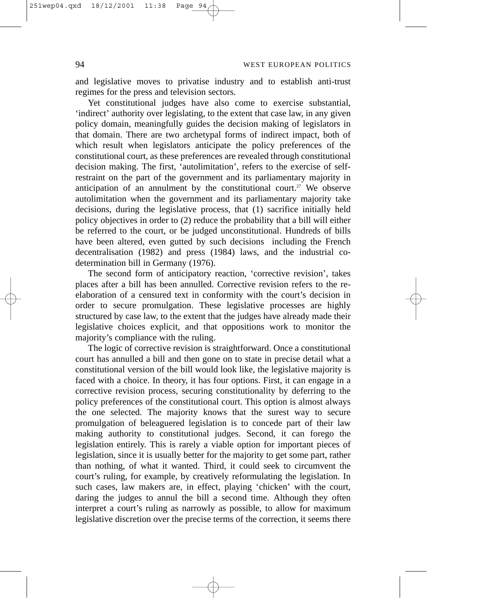and legislative moves to privatise industry and to establish anti-trust regimes for the press and television sectors.

Yet constitutional judges have also come to exercise substantial, 'indirect' authority over legislating, to the extent that case law, in any given policy domain, meaningfully guides the decision making of legislators in that domain. There are two archetypal forms of indirect impact, both of which result when legislators anticipate the policy preferences of the constitutional court, as these preferences are revealed through constitutional decision making. The first, 'autolimitation', refers to the exercise of selfrestraint on the part of the government and its parliamentary majority in anticipation of an annulment by the constitutional court.<sup>27</sup> We observe autolimitation when the government and its parliamentary majority take decisions, during the legislative process, that (1) sacrifice initially held policy objectives in order to (2) reduce the probability that a bill will either be referred to the court, or be judged unconstitutional. Hundreds of bills have been altered, even gutted by such decisions including the French decentralisation (1982) and press (1984) laws, and the industrial codetermination bill in Germany (1976).

The second form of anticipatory reaction, 'corrective revision', takes places after a bill has been annulled. Corrective revision refers to the reelaboration of a censured text in conformity with the court's decision in order to secure promulgation. These legislative processes are highly structured by case law, to the extent that the judges have already made their legislative choices explicit, and that oppositions work to monitor the majority's compliance with the ruling.

The logic of corrective revision is straightforward. Once a constitutional court has annulled a bill and then gone on to state in precise detail what a constitutional version of the bill would look like, the legislative majority is faced with a choice. In theory, it has four options. First, it can engage in a corrective revision process, securing constitutionality by deferring to the policy preferences of the constitutional court. This option is almost always the one selected. The majority knows that the surest way to secure promulgation of beleaguered legislation is to concede part of their law making authority to constitutional judges. Second, it can forego the legislation entirely. This is rarely a viable option for important pieces of legislation, since it is usually better for the majority to get some part, rather than nothing, of what it wanted. Third, it could seek to circumvent the court's ruling, for example, by creatively reformulating the legislation. In such cases, law makers are, in effect, playing 'chicken' with the court, daring the judges to annul the bill a second time. Although they often interpret a court's ruling as narrowly as possible, to allow for maximum legislative discretion over the precise terms of the correction, it seems there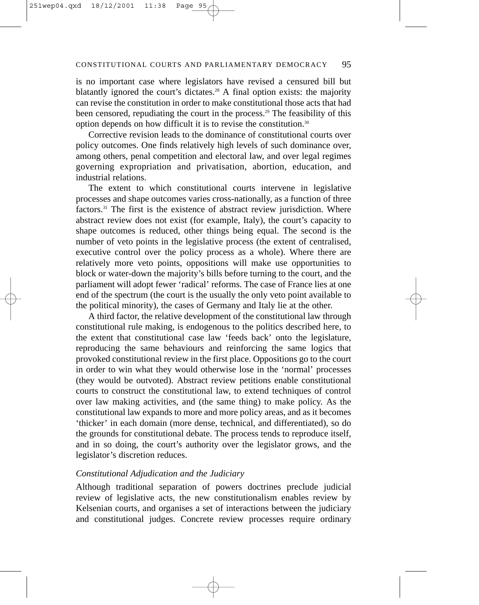is no important case where legislators have revised a censured bill but blatantly ignored the court's dictates.<sup>28</sup> A final option exists: the majority can revise the constitution in order to make constitutional those acts that had been censored, repudiating the court in the process.<sup>29</sup> The feasibility of this option depends on how difficult it is to revise the constitution.30

Corrective revision leads to the dominance of constitutional courts over policy outcomes. One finds relatively high levels of such dominance over, among others, penal competition and electoral law, and over legal regimes governing expropriation and privatisation, abortion, education, and industrial relations.

The extent to which constitutional courts intervene in legislative processes and shape outcomes varies cross-nationally, as a function of three factors.<sup>31</sup> The first is the existence of abstract review jurisdiction. Where abstract review does not exist (for example, Italy), the court's capacity to shape outcomes is reduced, other things being equal. The second is the number of veto points in the legislative process (the extent of centralised, executive control over the policy process as a whole). Where there are relatively more veto points, oppositions will make use opportunities to block or water-down the majority's bills before turning to the court, and the parliament will adopt fewer 'radical' reforms. The case of France lies at one end of the spectrum (the court is the usually the only veto point available to the political minority), the cases of Germany and Italy lie at the other.

A third factor, the relative development of the constitutional law through constitutional rule making, is endogenous to the politics described here, to the extent that constitutional case law 'feeds back' onto the legislature, reproducing the same behaviours and reinforcing the same logics that provoked constitutional review in the first place. Oppositions go to the court in order to win what they would otherwise lose in the 'normal' processes (they would be outvoted). Abstract review petitions enable constitutional courts to construct the constitutional law, to extend techniques of control over law making activities, and (the same thing) to make policy. As the constitutional law expands to more and more policy areas, and as it becomes 'thicker' in each domain (more dense, technical, and differentiated), so do the grounds for constitutional debate. The process tends to reproduce itself, and in so doing, the court's authority over the legislator grows, and the legislator's discretion reduces.

# *Constitutional Adjudication and the Judiciary*

Although traditional separation of powers doctrines preclude judicial review of legislative acts, the new constitutionalism enables review by Kelsenian courts, and organises a set of interactions between the judiciary and constitutional judges. Concrete review processes require ordinary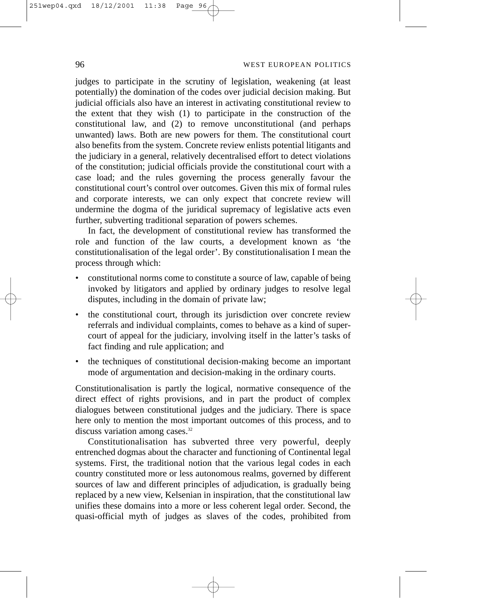judges to participate in the scrutiny of legislation, weakening (at least potentially) the domination of the codes over judicial decision making. But judicial officials also have an interest in activating constitutional review to the extent that they wish (1) to participate in the construction of the constitutional law, and (2) to remove unconstitutional (and perhaps unwanted) laws. Both are new powers for them. The constitutional court also benefits from the system. Concrete review enlists potential litigants and the judiciary in a general, relatively decentralised effort to detect violations of the constitution; judicial officials provide the constitutional court with a case load; and the rules governing the process generally favour the constitutional court's control over outcomes. Given this mix of formal rules and corporate interests, we can only expect that concrete review will undermine the dogma of the juridical supremacy of legislative acts even further, subverting traditional separation of powers schemes.

In fact, the development of constitutional review has transformed the role and function of the law courts, a development known as 'the constitutionalisation of the legal order'. By constitutionalisation I mean the process through which:

- constitutional norms come to constitute a source of law, capable of being invoked by litigators and applied by ordinary judges to resolve legal disputes, including in the domain of private law;
- the constitutional court, through its jurisdiction over concrete review referrals and individual complaints, comes to behave as a kind of supercourt of appeal for the judiciary, involving itself in the latter's tasks of fact finding and rule application; and
- the techniques of constitutional decision-making become an important mode of argumentation and decision-making in the ordinary courts.

Constitutionalisation is partly the logical, normative consequence of the direct effect of rights provisions, and in part the product of complex dialogues between constitutional judges and the judiciary. There is space here only to mention the most important outcomes of this process, and to discuss variation among cases.<sup>32</sup>

Constitutionalisation has subverted three very powerful, deeply entrenched dogmas about the character and functioning of Continental legal systems. First, the traditional notion that the various legal codes in each country constituted more or less autonomous realms, governed by different sources of law and different principles of adjudication, is gradually being replaced by a new view, Kelsenian in inspiration, that the constitutional law unifies these domains into a more or less coherent legal order. Second, the quasi-official myth of judges as slaves of the codes, prohibited from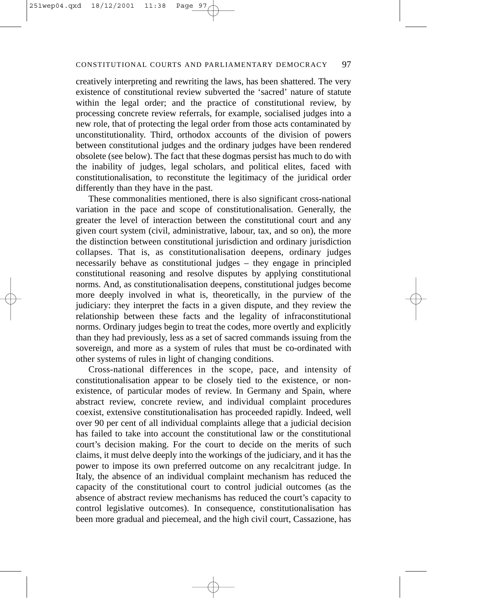creatively interpreting and rewriting the laws, has been shattered. The very existence of constitutional review subverted the 'sacred' nature of statute within the legal order; and the practice of constitutional review, by processing concrete review referrals, for example, socialised judges into a new role, that of protecting the legal order from those acts contaminated by unconstitutionality. Third, orthodox accounts of the division of powers between constitutional judges and the ordinary judges have been rendered obsolete (see below). The fact that these dogmas persist has much to do with the inability of judges, legal scholars, and political elites, faced with constitutionalisation, to reconstitute the legitimacy of the juridical order differently than they have in the past.

These commonalities mentioned, there is also significant cross-national variation in the pace and scope of constitutionalisation. Generally, the greater the level of interaction between the constitutional court and any given court system (civil, administrative, labour, tax, and so on), the more the distinction between constitutional jurisdiction and ordinary jurisdiction collapses. That is, as constitutionalisation deepens, ordinary judges necessarily behave as constitutional judges – they engage in principled constitutional reasoning and resolve disputes by applying constitutional norms. And, as constitutionalisation deepens, constitutional judges become more deeply involved in what is, theoretically, in the purview of the judiciary: they interpret the facts in a given dispute, and they review the relationship between these facts and the legality of infraconstitutional norms. Ordinary judges begin to treat the codes, more overtly and explicitly than they had previously, less as a set of sacred commands issuing from the sovereign, and more as a system of rules that must be co-ordinated with other systems of rules in light of changing conditions.

Cross-national differences in the scope, pace, and intensity of constitutionalisation appear to be closely tied to the existence, or nonexistence, of particular modes of review. In Germany and Spain, where abstract review, concrete review, and individual complaint procedures coexist, extensive constitutionalisation has proceeded rapidly. Indeed, well over 90 per cent of all individual complaints allege that a judicial decision has failed to take into account the constitutional law or the constitutional court's decision making. For the court to decide on the merits of such claims, it must delve deeply into the workings of the judiciary, and it has the power to impose its own preferred outcome on any recalcitrant judge. In Italy, the absence of an individual complaint mechanism has reduced the capacity of the constitutional court to control judicial outcomes (as the absence of abstract review mechanisms has reduced the court's capacity to control legislative outcomes). In consequence, constitutionalisation has been more gradual and piecemeal, and the high civil court, Cassazione, has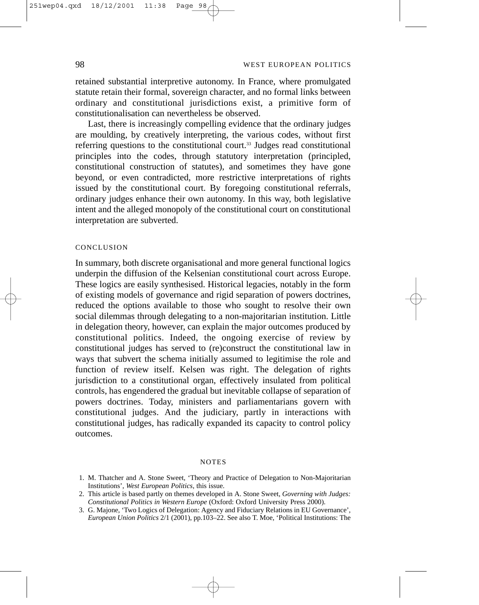retained substantial interpretive autonomy. In France, where promulgated statute retain their formal, sovereign character, and no formal links between ordinary and constitutional jurisdictions exist, a primitive form of constitutionalisation can nevertheless be observed.

Last, there is increasingly compelling evidence that the ordinary judges are moulding, by creatively interpreting, the various codes, without first referring questions to the constitutional court. $33$  Judges read constitutional principles into the codes, through statutory interpretation (principled, constitutional construction of statutes), and sometimes they have gone beyond, or even contradicted, more restrictive interpretations of rights issued by the constitutional court. By foregoing constitutional referrals, ordinary judges enhance their own autonomy. In this way, both legislative intent and the alleged monopoly of the constitutional court on constitutional interpretation are subverted.

#### CONCLUSION

In summary, both discrete organisational and more general functional logics underpin the diffusion of the Kelsenian constitutional court across Europe. These logics are easily synthesised. Historical legacies, notably in the form of existing models of governance and rigid separation of powers doctrines, reduced the options available to those who sought to resolve their own social dilemmas through delegating to a non-majoritarian institution. Little in delegation theory, however, can explain the major outcomes produced by constitutional politics. Indeed, the ongoing exercise of review by constitutional judges has served to (re)construct the constitutional law in ways that subvert the schema initially assumed to legitimise the role and function of review itself. Kelsen was right. The delegation of rights jurisdiction to a constitutional organ, effectively insulated from political controls, has engendered the gradual but inevitable collapse of separation of powers doctrines. Today, ministers and parliamentarians govern with constitutional judges. And the judiciary, partly in interactions with constitutional judges, has radically expanded its capacity to control policy outcomes.

#### **NOTES**

<sup>1.</sup> M. Thatcher and A. Stone Sweet, 'Theory and Practice of Delegation to Non-Majoritarian Institutions', *West European Politics*, this issue.

<sup>2.</sup> This article is based partly on themes developed in A. Stone Sweet, *Governing with Judges: Constitutional Politics in Western Europe* (Oxford: Oxford University Press 2000).

<sup>3.</sup> G. Majone, 'Two Logics of Delegation: Agency and Fiduciary Relations in EU Governance'*, European Union Politics* 2/1 (2001), pp.103–22. See also T. Moe, 'Political Institutions: The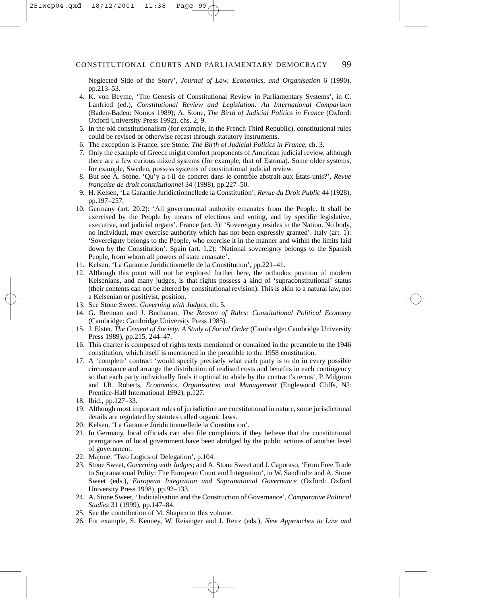Neglected Side of the Story'*, Journal of Law, Economics, and Organisation* 6 (1990), pp.213–53.

- 4. K. von Beyme, 'The Genesis of Constitutional Review in Parliamentary Systems', in C. Lanfried (ed.), *Constitutional Review and Legislation: An International Comparison* (Baden-Baden: Nomos 1989); A. Stone, *The Birth of Judicial Politics in France* (Oxford: Oxford University Press 1992), chs. 2, 9.
- 5. In the old constitutionalism (for example, in the French Third Republic), constitutional rules could be revised or otherwise recast through statutory instruments.
- 6. The exception is France, see Stone, *The Birth of Judicial Politics in France*, ch. 3.
- 7. Only the example of Greece might comfort proponents of American judicial review, although there are a few curious mixed systems (for example, that of Estonia). Some older systems, for example, Sweden, possess systems of constitutional judicial review.
- 8. But see A. Stone, 'Qu'y a-t-il de concret dans le contrôle abstrait aux États-unis?', *Revue française de droit constitutionnel* 34 (1998), pp.227–50.
- 9. H. Kelsen, 'La Garantie Juridictionnellede la Constitution', *Revue du Droit Public* 44 (1928), pp.197–257.
- 10. Germany (art. 20.2): 'All governmental authority emanates from the People. It shall be exercised by the People by means of elections and voting, and by specific legislative, executive, and judicial organs'. France (art. 3): 'Sovereignty resides in the Nation. No body, no individual, may exercise authority which has not been expressly granted'. Italy (art. 1): 'Sovereignty belongs to the People, who exercise it in the manner and within the limits laid down by the Constitution'. Spain (art. 1.2): 'National sovereignty belongs to the Spanish People, from whom all powers of state emanate'.
- 11. Kelsen, 'La Garantie Juridictionnelle de la Constitution', pp.221–41.
- 12. Although this point will not be explored further here, the orthodox position of modern Kelsenians, and many judges, is that rights possess a kind of 'supraconstitutional' status (their contents can not be altered by constitutional revision). This is akin to a natural law, not a Kelsenian or positivist, position.
- 13. See Stone Sweet, *Governing with Judges*, ch. 5.
- 14. G. Brennan and J. Buchanan, *The Reason of Rules: Constitutional Political Economy* (Cambridge: Cambridge University Press 1985).
- 15. J. Elster, *The Cement of Society: A Study of Social Order* (Cambridge: Cambridge University Press 1989), pp.215, 244–47.
- 16. This charter is composed of rights texts mentioned or contained in the preamble to the 1946 constitution, which itself is mentioned in the preamble to the 1958 constitution.
- 17. A 'complete' contract 'would specify precisely what each party is to do in every possible circumstance and arrange the distribution of realised costs and benefits in each contingency so that each party individually finds it optimal to abide by the contract's terms', P. Milgrom and J.R. Roberts, *Economics, Organization and Management* (Englewood Cliffs, NJ: Prentice-Hall International 1992), p.127.
- 18. Ibid., pp.127–33.

- 19. Although most important rules of jurisdiction are constitutional in nature, some jurisdictional details are regulated by statutes called organic laws.
- 20. Kelsen, 'La Garantie Juridictionnellede la Constitution'.
- 21. In Germany, local officials can also file complaints if they believe that the constitutional prerogatives of local government have been abridged by the public actions of another level of government.
- 22. Majone, 'Two Logics of Delegation', p.104.
- 23. Stone Sweet, *Governing with Judges*; and A. Stone Sweet and J. Caporaso, 'From Free Trade to Supranational Polity: The European Court and Integration', in W. Sandholtz and A. Stone Sweet (eds.), *European Integration and Supranational Governance* (Oxford: Oxford University Press 1998), pp.92–133.
- 24. A. Stone Sweet, 'Judicialisation and the Construction of Governance', *Comparative Political Studies* 31 (1999), pp.147–84.
- 25. See the contribution of M. Shapiro to this volume.
- 26. For example, S. Kenney, W. Reisinger and J. Reitz (eds.), *New Approaches to Law and*